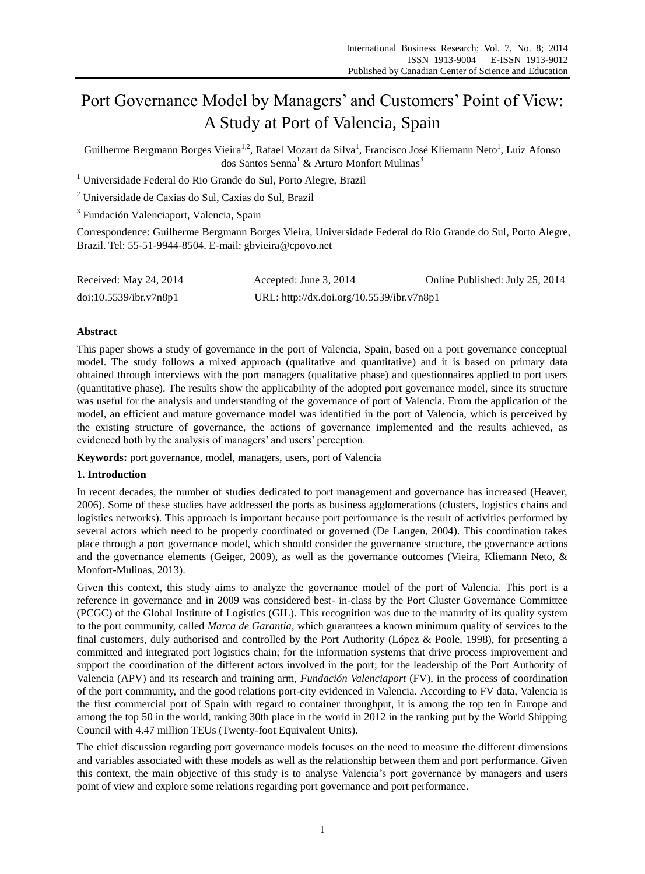# Port Governance Model by Managers' and Customers' Point of View: A Study at Port of Valencia, Spain

Guilherme Bergmann Borges Vieira<sup>1,2</sup>, Rafael Mozart da Silva<sup>1</sup>, Francisco Jos é Kliemann Neto<sup>1</sup>, Luiz Afonso dos Santos Senna<sup>1</sup> & Arturo Monfort Mulinas<sup>3</sup>

<sup>1</sup> Universidade Federal do Rio Grande do Sul, Porto Alegre, Brazil

<sup>2</sup> Universidade de Caxias do Sul, Caxias do Sul, Brazil

<sup>3</sup> Fundaci ón Valenciaport, Valencia, Spain

Correspondence: Guilherme Bergmann Borges Vieira, Universidade Federal do Rio Grande do Sul, Porto Alegre, Brazil. Tel: 55-51-9944-8504. E-mail: gbvieira@cpovo.net

| Received: May 24, 2014 | Accepted: June 3, 2014                    | Online Published: July 25, 2014 |
|------------------------|-------------------------------------------|---------------------------------|
| doi:10.5539/ibr.v7n8p1 | URL: http://dx.doi.org/10.5539/ibr.v7n8p1 |                                 |

# **Abstract**

This paper shows a study of governance in the port of Valencia, Spain, based on a port governance conceptual model. The study follows a mixed approach (qualitative and quantitative) and it is based on primary data obtained through interviews with the port managers (qualitative phase) and questionnaires applied to port users (quantitative phase). The results show the applicability of the adopted port governance model, since its structure was useful for the analysis and understanding of the governance of port of Valencia. From the application of the model, an efficient and mature governance model was identified in the port of Valencia, which is perceived by the existing structure of governance, the actions of governance implemented and the results achieved, as evidenced both by the analysis of managers' and users' perception.

**Keywords:** port governance, model, managers, users, port of Valencia

# **1. Introduction**

In recent decades, the number of studies dedicated to port management and governance has increased (Heaver, 2006). Some of these studies have addressed the ports as business agglomerations (clusters, logistics chains and logistics networks). This approach is important because port performance is the result of activities performed by several actors which need to be properly coordinated or governed (De Langen, 2004). This coordination takes place through a port governance model, which should consider the governance structure, the governance actions and the governance elements (Geiger, 2009), as well as the governance outcomes (Vieira, Kliemann Neto, & Monfort-Mulinas, 2013).

Given this context, this study aims to analyze the governance model of the port of Valencia. This port is a reference in governance and in 2009 was considered best- in-class by the Port Cluster Governance Committee (PCGC) of the Global Institute of Logistics (GIL). This recognition was due to the maturity of its quality system to the port community, called *Marca de Garantía*, which guarantees a known minimum quality of services to the final customers, duly authorised and controlled by the Port Authority (López & Poole, 1998), for presenting a committed and integrated port logistics chain; for the information systems that drive process improvement and support the coordination of the different actors involved in the port; for the leadership of the Port Authority of Valencia (APV) and its research and training arm, *Fundación Valenciaport* (FV), in the process of coordination of the port community, and the good relations port-city evidenced in Valencia. According to FV data, Valencia is the first commercial port of Spain with regard to container throughput, it is among the top ten in Europe and among the top 50 in the world, ranking 30th place in the world in 2012 in the ranking put by the World Shipping Council with 4.47 million TEUs (Twenty-foot Equivalent Units).

The chief discussion regarding port governance models focuses on the need to measure the different dimensions and variables associated with these models as well as the relationship between them and port performance. Given this context, the main objective of this study is to analyse Valencia's port governance by managers and users point of view and explore some relations regarding port governance and port performance.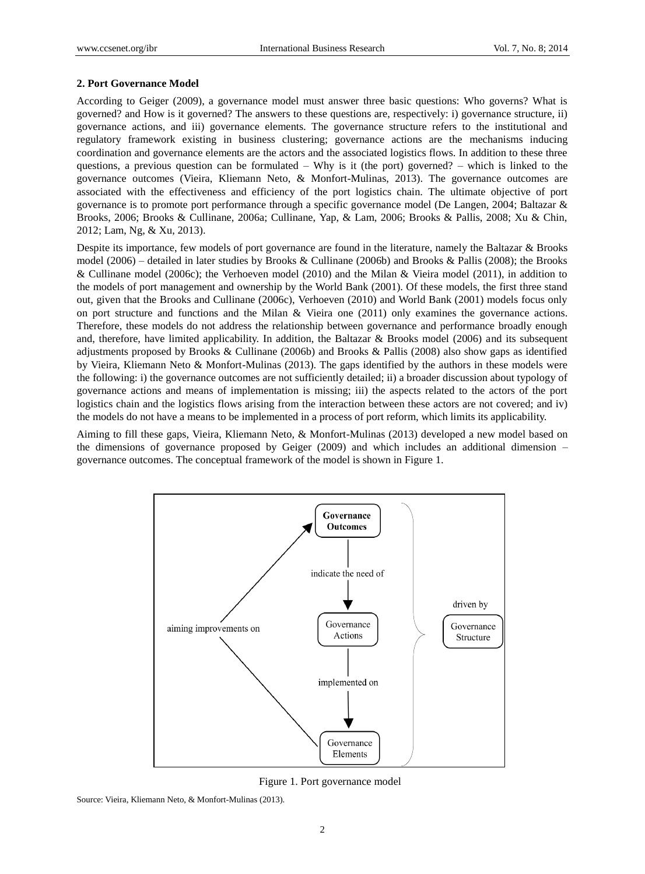## **2. Port Governance Model**

According to Geiger (2009), a governance model must answer three basic questions: Who governs? What is governed? and How is it governed? The answers to these questions are, respectively: i) governance structure, ii) governance actions, and iii) governance elements. The governance structure refers to the institutional and regulatory framework existing in business clustering; governance actions are the mechanisms inducing coordination and governance elements are the actors and the associated logistics flows. In addition to these three questions, a previous question can be formulated – Why is it (the port) governed? – which is linked to the governance outcomes (Vieira, Kliemann Neto, & Monfort-Mulinas, 2013). The governance outcomes are associated with the effectiveness and efficiency of the port logistics chain. The ultimate objective of port governance is to promote port performance through a specific governance model (De Langen, 2004; Baltazar & Brooks, 2006; Brooks & Cullinane, 2006a; Cullinane, Yap, & Lam, 2006; Brooks & Pallis, 2008; Xu & Chin, 2012; Lam, Ng, & Xu, 2013).

Despite its importance, few models of port governance are found in the literature, namely the Baltazar & Brooks model (2006) – detailed in later studies by Brooks & Cullinane (2006b) and Brooks & Pallis (2008); the Brooks & Cullinane model (2006c); the Verhoeven model (2010) and the Milan & Vieira model (2011), in addition to the models of port management and ownership by the World Bank (2001). Of these models, the first three stand out, given that the Brooks and Cullinane (2006c), Verhoeven (2010) and World Bank (2001) models focus only on port structure and functions and the Milan & Vieira one (2011) only examines the governance actions. Therefore, these models do not address the relationship between governance and performance broadly enough and, therefore, have limited applicability. In addition, the Baltazar & Brooks model (2006) and its subsequent adjustments proposed by Brooks & Cullinane (2006b) and Brooks & Pallis (2008) also show gaps as identified by Vieira, Kliemann Neto & Monfort-Mulinas (2013). The gaps identified by the authors in these models were the following: i) the governance outcomes are not sufficiently detailed; ii) a broader discussion about typology of governance actions and means of implementation is missing; iii) the aspects related to the actors of the port logistics chain and the logistics flows arising from the interaction between these actors are not covered; and iv) the models do not have a means to be implemented in a process of port reform, which limits its applicability.

Aiming to fill these gaps, Vieira, Kliemann Neto, & Monfort-Mulinas (2013) developed a new model based on the dimensions of governance proposed by Geiger (2009) and which includes an additional dimension – governance outcomes. The conceptual framework of the model is shown in Figure 1.



Figure 1. Port governance model

Source: Vieira, Kliemann Neto, & Monfort-Mulinas (2013).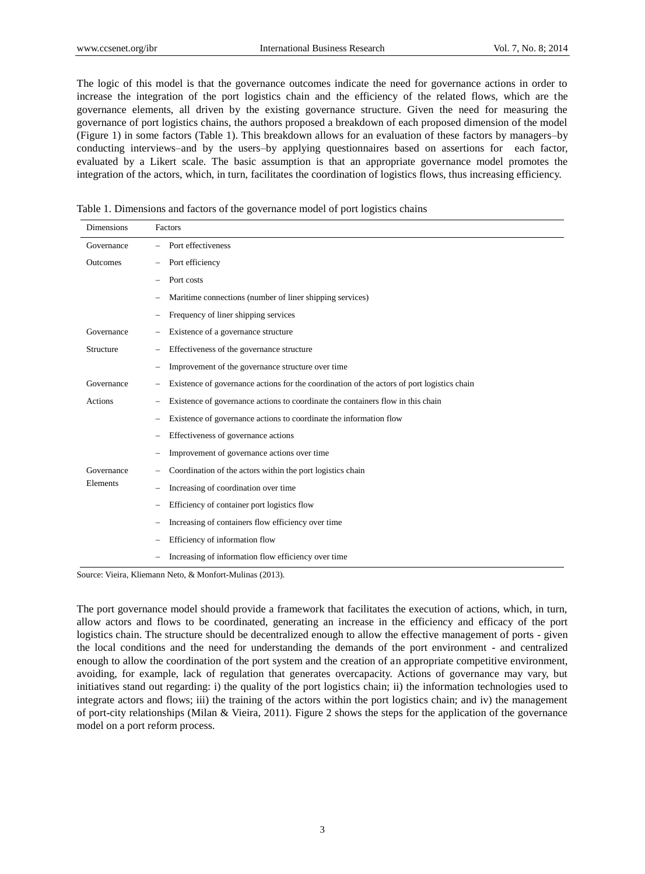The logic of this model is that the governance outcomes indicate the need for governance actions in order to increase the integration of the port logistics chain and the efficiency of the related flows, which are the governance elements, all driven by the existing governance structure. Given the need for measuring the governance of port logistics chains, the authors proposed a breakdown of each proposed dimension of the model (Figure 1) in some factors (Table 1). This breakdown allows for an evaluation of these factors by managers–by conducting interviews–and by the users–by applying questionnaires based on assertions for each factor, evaluated by a Likert scale. The basic assumption is that an appropriate governance model promotes the integration of the actors, which, in turn, facilitates the coordination of logistics flows, thus increasing efficiency.

|  |  |  |  |  | Table 1. Dimensions and factors of the governance model of port logistics chains |
|--|--|--|--|--|----------------------------------------------------------------------------------|
|--|--|--|--|--|----------------------------------------------------------------------------------|

| <b>Dimensions</b> | Factors                                                                                    |
|-------------------|--------------------------------------------------------------------------------------------|
| Governance        | Port effectiveness                                                                         |
| <b>Outcomes</b>   | Port efficiency                                                                            |
|                   | Port costs                                                                                 |
|                   | Maritime connections (number of liner shipping services)                                   |
|                   | Frequency of liner shipping services                                                       |
| Governance        | Existence of a governance structure                                                        |
| Structure         | Effectiveness of the governance structure                                                  |
|                   | Improvement of the governance structure over time                                          |
| Governance        | Existence of governance actions for the coordination of the actors of port logistics chain |
| Actions           | Existence of governance actions to coordinate the containers flow in this chain            |
|                   | Existence of governance actions to coordinate the information flow                         |
|                   | Effectiveness of governance actions                                                        |
|                   | Improvement of governance actions over time                                                |
| Governance        | Coordination of the actors within the port logistics chain                                 |
| Elements          | Increasing of coordination over time                                                       |
|                   | Efficiency of container port logistics flow                                                |
|                   | Increasing of containers flow efficiency over time                                         |
|                   | Efficiency of information flow                                                             |
|                   | Increasing of information flow efficiency over time                                        |

Source: Vieira, Kliemann Neto, & Monfort-Mulinas (2013).

The port governance model should provide a framework that facilitates the execution of actions, which, in turn, allow actors and flows to be coordinated, generating an increase in the efficiency and efficacy of the port logistics chain. The structure should be decentralized enough to allow the effective management of ports - given the local conditions and the need for understanding the demands of the port environment - and centralized enough to allow the coordination of the port system and the creation of an appropriate competitive environment, avoiding, for example, lack of regulation that generates overcapacity. Actions of governance may vary, but initiatives stand out regarding: i) the quality of the port logistics chain; ii) the information technologies used to integrate actors and flows; iii) the training of the actors within the port logistics chain; and iv) the management of port-city relationships (Milan & Vieira, 2011). Figure 2 shows the steps for the application of the governance model on a port reform process.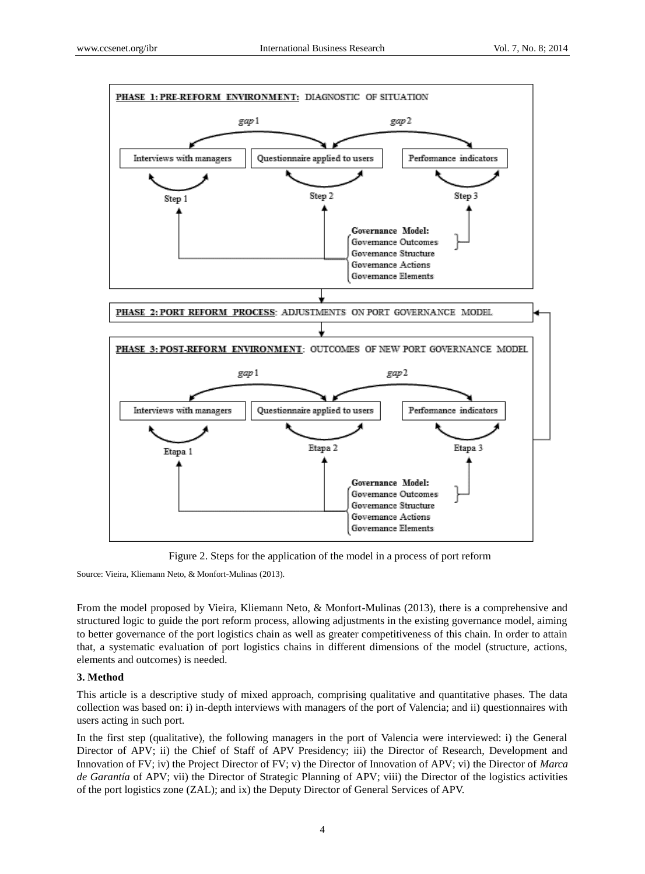

Figure 2. Steps for the application of the model in a process of port reform

Source: Vieira, Kliemann Neto, & Monfort-Mulinas (2013).

From the model proposed by Vieira, Kliemann Neto, & Monfort-Mulinas (2013), there is a comprehensive and structured logic to guide the port reform process, allowing adjustments in the existing governance model, aiming to better governance of the port logistics chain as well as greater competitiveness of this chain. In order to attain that, a systematic evaluation of port logistics chains in different dimensions of the model (structure, actions, elements and outcomes) is needed.

# **3. Method**

This article is a descriptive study of mixed approach, comprising qualitative and quantitative phases. The data collection was based on: i) in-depth interviews with managers of the port of Valencia; and ii) questionnaires with users acting in such port.

In the first step (qualitative), the following managers in the port of Valencia were interviewed: i) the General Director of APV; ii) the Chief of Staff of APV Presidency; iii) the Director of Research, Development and Innovation of FV; iv) the Project Director of FV; v) the Director of Innovation of APV; vi) the Director of *Marca de Garantía* of APV; vii) the Director of Strategic Planning of APV; viii) the Director of the logistics activities of the port logistics zone (ZAL); and ix) the Deputy Director of General Services of APV.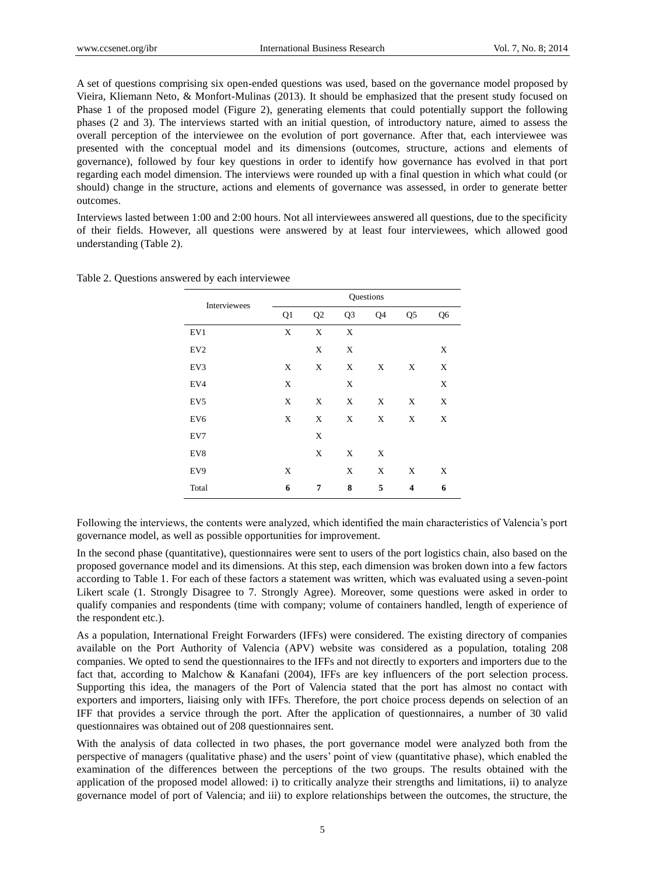A set of questions comprising six open-ended questions was used, based on the governance model proposed by Vieira, Kliemann Neto, & Monfort-Mulinas (2013). It should be emphasized that the present study focused on Phase 1 of the proposed model (Figure 2), generating elements that could potentially support the following phases (2 and 3). The interviews started with an initial question, of introductory nature, aimed to assess the overall perception of the interviewee on the evolution of port governance. After that, each interviewee was presented with the conceptual model and its dimensions (outcomes, structure, actions and elements of governance), followed by four key questions in order to identify how governance has evolved in that port regarding each model dimension. The interviews were rounded up with a final question in which what could (or should) change in the structure, actions and elements of governance was assessed, in order to generate better outcomes.

Interviews lasted between 1:00 and 2:00 hours. Not all interviewees answered all questions, due to the specificity of their fields. However, all questions were answered by at least four interviewees, which allowed good understanding (Table 2).

| Interviewees    |    |    |                | Questions   |                |                |
|-----------------|----|----|----------------|-------------|----------------|----------------|
|                 | Q1 | Q2 | Q <sub>3</sub> | Q4          | Q <sub>5</sub> | Q <sub>6</sub> |
| EV1             | X  | X  | X              |             |                |                |
| EV <sub>2</sub> |    | X  | X              |             |                | X              |
| EV3             | X  | X  | X              | X           | X              | X              |
| EV4             | X  |    | X              |             |                | X              |
| EV <sub>5</sub> | X  | X  | X              | X           | X              | X              |
| EV <sub>6</sub> | X  | X  | X              | X           | X              | X              |
| EV7             |    | X  |                |             |                |                |
| EV8             |    | X  | X              | X           |                |                |
| EV9             | X  |    | X              | $\mathbf X$ | X              | X              |
| Total           | 6  | 7  | 8              | 5           | 4              | 6              |

Table 2. Questions answered by each interviewee

Following the interviews, the contents were analyzed, which identified the main characteristics of Valencia's port governance model, as well as possible opportunities for improvement.

In the second phase (quantitative), questionnaires were sent to users of the port logistics chain, also based on the proposed governance model and its dimensions. At this step, each dimension was broken down into a few factors according to Table 1. For each of these factors a statement was written, which was evaluated using a seven-point Likert scale (1. Strongly Disagree to 7. Strongly Agree). Moreover, some questions were asked in order to qualify companies and respondents (time with company; volume of containers handled, length of experience of the respondent etc.).

As a population, International Freight Forwarders (IFFs) were considered. The existing directory of companies available on the Port Authority of Valencia (APV) website was considered as a population, totaling 208 companies. We opted to send the questionnaires to the IFFs and not directly to exporters and importers due to the fact that, according to Malchow & Kanafani (2004), IFFs are key influencers of the port selection process. Supporting this idea, the managers of the Port of Valencia stated that the port has almost no contact with exporters and importers, liaising only with IFFs. Therefore, the port choice process depends on selection of an IFF that provides a service through the port. After the application of questionnaires, a number of 30 valid questionnaires was obtained out of 208 questionnaires sent.

With the analysis of data collected in two phases, the port governance model were analyzed both from the perspective of managers (qualitative phase) and the users' point of view (quantitative phase), which enabled the examination of the differences between the perceptions of the two groups. The results obtained with the application of the proposed model allowed: i) to critically analyze their strengths and limitations, ii) to analyze governance model of port of Valencia; and iii) to explore relationships between the outcomes, the structure, the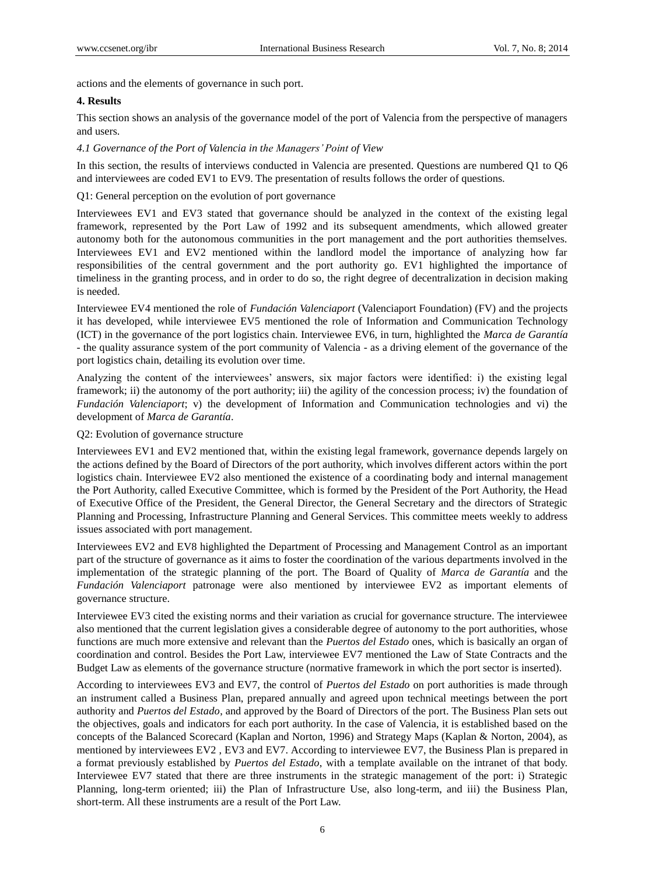actions and the elements of governance in such port.

#### **4. Results**

This section shows an analysis of the governance model of the port of Valencia from the perspective of managers and users.

#### *4.1 Governance of the Port of Valencia in the Managers' Point of View*

In this section, the results of interviews conducted in Valencia are presented. Questions are numbered Q1 to Q6 and interviewees are coded EV1 to EV9. The presentation of results follows the order of questions.

# Q1: General perception on the evolution of port governance

Interviewees EV1 and EV3 stated that governance should be analyzed in the context of the existing legal framework, represented by the Port Law of 1992 and its subsequent amendments, which allowed greater autonomy both for the autonomous communities in the port management and the port authorities themselves. Interviewees EV1 and EV2 mentioned within the landlord model the importance of analyzing how far responsibilities of the central government and the port authority go. EV1 highlighted the importance of timeliness in the granting process, and in order to do so, the right degree of decentralization in decision making is needed.

Interviewee EV4 mentioned the role of *Fundación Valenciaport* (Valenciaport Foundation) (FV) and the projects it has developed, while interviewee EV5 mentioned the role of Information and Communication Technology (ICT) in the governance of the port logistics chain. Interviewee EV6, in turn, highlighted the *Marca de Garantía* - the quality assurance system of the port community of Valencia - as a driving element of the governance of the port logistics chain, detailing its evolution over time.

Analyzing the content of the interviewees' answers, six major factors were identified: i) the existing legal framework; ii) the autonomy of the port authority; iii) the agility of the concession process; iv) the foundation of *Fundación Valenciaport*; v) the development of Information and Communication technologies and vi) the development of *Marca de Garantía*.

# Q2: Evolution of governance structure

Interviewees EV1 and EV2 mentioned that, within the existing legal framework, governance depends largely on the actions defined by the Board of Directors of the port authority, which involves different actors within the port logistics chain. Interviewee EV2 also mentioned the existence of a coordinating body and internal management the Port Authority, called Executive Committee, which is formed by the President of the Port Authority, the Head of Executive Office of the President, the General Director, the General Secretary and the directors of Strategic Planning and Processing, Infrastructure Planning and General Services. This committee meets weekly to address issues associated with port management.

Interviewees EV2 and EV8 highlighted the Department of Processing and Management Control as an important part of the structure of governance as it aims to foster the coordination of the various departments involved in the implementation of the strategic planning of the port. The Board of Quality of *Marca de Garantía* and the *Fundación Valenciaport* patronage were also mentioned by interviewee EV2 as important elements of governance structure.

Interviewee EV3 cited the existing norms and their variation as crucial for governance structure. The interviewee also mentioned that the current legislation gives a considerable degree of autonomy to the port authorities, whose functions are much more extensive and relevant than the *Puertos del Estado* ones, which is basically an organ of coordination and control. Besides the Port Law, interviewee EV7 mentioned the Law of State Contracts and the Budget Law as elements of the governance structure (normative framework in which the port sector is inserted).

According to interviewees EV3 and EV7, the control of *Puertos del Estado* on port authorities is made through an instrument called a Business Plan, prepared annually and agreed upon technical meetings between the port authority and *Puertos del Estado*, and approved by the Board of Directors of the port. The Business Plan sets out the objectives, goals and indicators for each port authority. In the case of Valencia, it is established based on the concepts of the Balanced Scorecard (Kaplan and Norton, 1996) and Strategy Maps (Kaplan & Norton, 2004), as mentioned by interviewees EV2 , EV3 and EV7. According to interviewee EV7, the Business Plan is prepared in a format previously established by *Puertos del Estado*, with a template available on the intranet of that body. Interviewee EV7 stated that there are three instruments in the strategic management of the port: i) Strategic Planning, long-term oriented; iii) the Plan of Infrastructure Use, also long-term, and iii) the Business Plan, short-term. All these instruments are a result of the Port Law.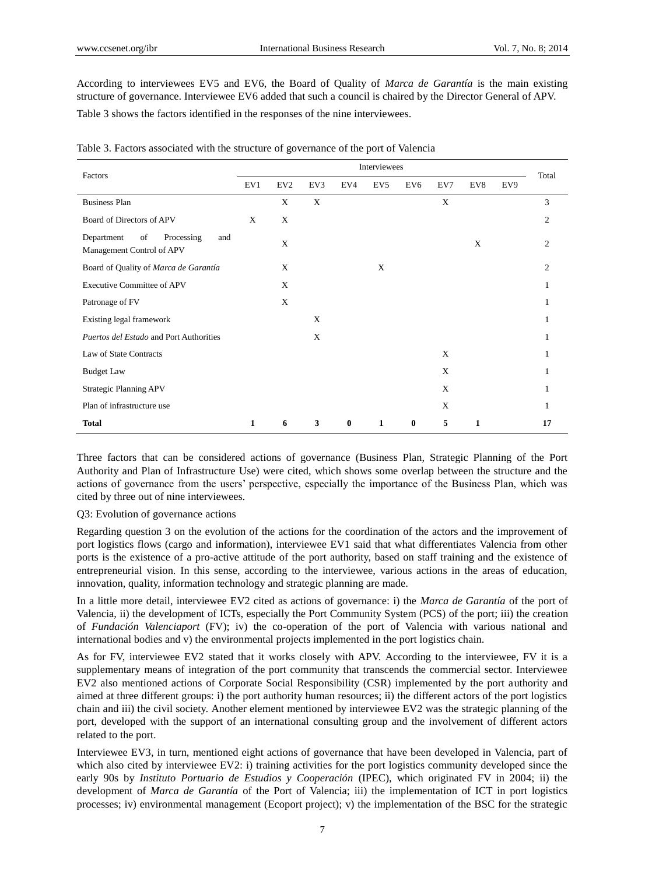According to interviewees EV5 and EV6, the Board of Quality of *Marca de Garantía* is the main existing structure of governance. Interviewee EV6 added that such a council is chaired by the Director General of APV.

Table 3 shows the factors identified in the responses of the nine interviewees.

| Factors                                                            | Interviewees |                 |     |          |                 |                 |             |              |     |                |  |
|--------------------------------------------------------------------|--------------|-----------------|-----|----------|-----------------|-----------------|-------------|--------------|-----|----------------|--|
|                                                                    | EV1          | EV <sub>2</sub> | EV3 | EV4      | EV <sub>5</sub> | EV <sub>6</sub> | EV7         | EV8          | EV9 | Total          |  |
| <b>Business Plan</b>                                               |              | X               | X   |          |                 |                 | $\mathbf X$ |              |     | 3              |  |
| Board of Directors of APV                                          | X            | $\mathbf X$     |     |          |                 |                 |             |              |     | $\overline{c}$ |  |
| Department<br>of<br>Processing<br>and<br>Management Control of APV |              | $\mathbf X$     |     |          |                 |                 |             | X            |     | $\overline{c}$ |  |
| Board of Quality of Marca de Garant <i>á</i>                       |              | $\mathbf X$     |     |          | X               |                 |             |              |     | $\mathfrak{2}$ |  |
| <b>Executive Committee of APV</b>                                  |              | X               |     |          |                 |                 |             |              |     |                |  |
| Patronage of FV                                                    |              | X               |     |          |                 |                 |             |              |     |                |  |
| Existing legal framework                                           |              |                 | X   |          |                 |                 |             |              |     |                |  |
| Puertos del Estado and Port Authorities                            |              |                 | X   |          |                 |                 |             |              |     |                |  |
| Law of State Contracts                                             |              |                 |     |          |                 |                 | X           |              |     |                |  |
| <b>Budget Law</b>                                                  |              |                 |     |          |                 |                 | X           |              |     |                |  |
| <b>Strategic Planning APV</b>                                      |              |                 |     |          |                 |                 | X           |              |     |                |  |
| Plan of infrastructure use                                         |              |                 |     |          |                 |                 | X           |              |     |                |  |
| <b>Total</b>                                                       | $\mathbf{1}$ | 6               | 3   | $\bf{0}$ | $\mathbf{1}$    | $\bf{0}$        | 5           | $\mathbf{1}$ |     | 17             |  |

|  | Table 3. Factors associated with the structure of governance of the port of Valencia |  |  |  |  |
|--|--------------------------------------------------------------------------------------|--|--|--|--|
|  |                                                                                      |  |  |  |  |

Three factors that can be considered actions of governance (Business Plan, Strategic Planning of the Port Authority and Plan of Infrastructure Use) were cited, which shows some overlap between the structure and the actions of governance from the users' perspective, especially the importance of the Business Plan, which was cited by three out of nine interviewees.

# Q3: Evolution of governance actions

Regarding question 3 on the evolution of the actions for the coordination of the actors and the improvement of port logistics flows (cargo and information), interviewee EV1 said that what differentiates Valencia from other ports is the existence of a pro-active attitude of the port authority, based on staff training and the existence of entrepreneurial vision. In this sense, according to the interviewee, various actions in the areas of education, innovation, quality, information technology and strategic planning are made.

In a little more detail, interviewee EV2 cited as actions of governance: i) the *Marca de Garantía* of the port of Valencia, ii) the development of ICTs, especially the Port Community System (PCS) of the port; iii) the creation of *Fundación Valenciaport* (FV); iv) the co-operation of the port of Valencia with various national and international bodies and v) the environmental projects implemented in the port logistics chain.

As for FV, interviewee EV2 stated that it works closely with APV. According to the interviewee, FV it is a supplementary means of integration of the port community that transcends the commercial sector. Interviewee EV2 also mentioned actions of Corporate Social Responsibility (CSR) implemented by the port authority and aimed at three different groups: i) the port authority human resources; ii) the different actors of the port logistics chain and iii) the civil society. Another element mentioned by interviewee EV2 was the strategic planning of the port, developed with the support of an international consulting group and the involvement of different actors related to the port.

Interviewee EV3, in turn, mentioned eight actions of governance that have been developed in Valencia, part of which also cited by interviewee EV2: i) training activities for the port logistics community developed since the early 90s by *Instituto Portuario de Estudios y Cooperación* (IPEC), which originated FV in 2004; ii) the development of *Marca de Garantía* of the Port of Valencia; iii) the implementation of ICT in port logistics processes; iv) environmental management (Ecoport project); v) the implementation of the BSC for the strategic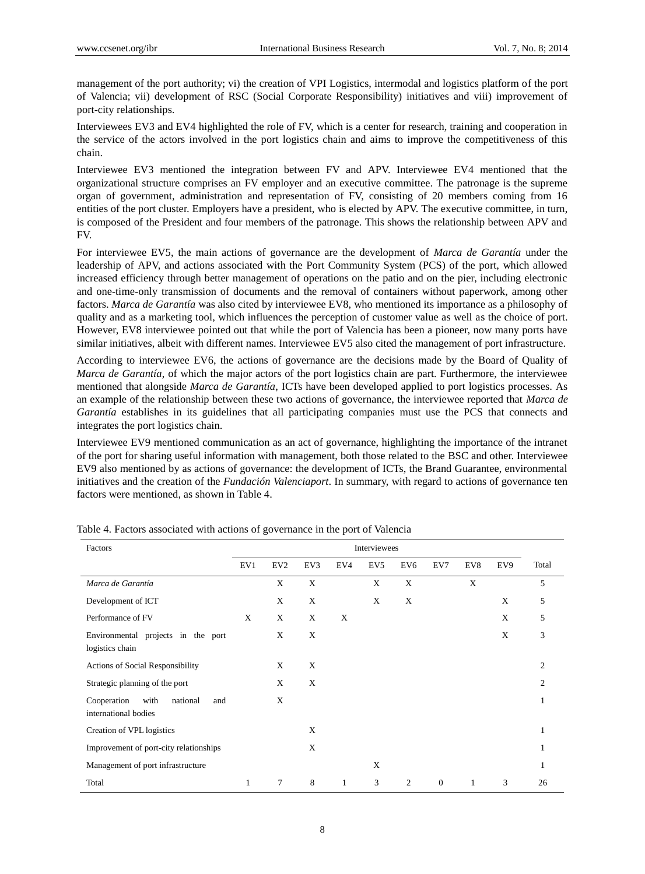management of the port authority; vi) the creation of VPI Logistics, intermodal and logistics platform of the port of Valencia; vii) development of RSC (Social Corporate Responsibility) initiatives and viii) improvement of port-city relationships.

Interviewees EV3 and EV4 highlighted the role of FV, which is a center for research, training and cooperation in the service of the actors involved in the port logistics chain and aims to improve the competitiveness of this chain.

Interviewee EV3 mentioned the integration between FV and APV. Interviewee EV4 mentioned that the organizational structure comprises an FV employer and an executive committee. The patronage is the supreme organ of government, administration and representation of FV, consisting of 20 members coming from 16 entities of the port cluster. Employers have a president, who is elected by APV. The executive committee, in turn, is composed of the President and four members of the patronage. This shows the relationship between APV and FV.

For interviewee EV5, the main actions of governance are the development of *Marca de Garantía* under the leadership of APV, and actions associated with the Port Community System (PCS) of the port, which allowed increased efficiency through better management of operations on the patio and on the pier, including electronic and one-time-only transmission of documents and the removal of containers without paperwork, among other factors. *Marca de Garantía* was also cited by interviewee EV8, who mentioned its importance as a philosophy of quality and as a marketing tool, which influences the perception of customer value as well as the choice of port. However, EV8 interviewee pointed out that while the port of Valencia has been a pioneer, now many ports have similar initiatives, albeit with different names. Interviewee EV5 also cited the management of port infrastructure.

According to interviewee EV6, the actions of governance are the decisions made by the Board of Quality of *Marca de Garant*  $\acute{a}$ , of which the major actors of the port logistics chain are part. Furthermore, the interviewee mentioned that alongside *Marca de Garantía*, ICTs have been developed applied to port logistics processes. As an example of the relationship between these two actions of governance, the interviewee reported that *Marca de Garant a* establishes in its guidelines that all participating companies must use the PCS that connects and integrates the port logistics chain.

Interviewee EV9 mentioned communication as an act of governance, highlighting the importance of the intranet of the port for sharing useful information with management, both those related to the BSC and other. Interviewee EV9 also mentioned by as actions of governance: the development of ICTs, the Brand Guarantee, environmental initiatives and the creation of the *Fundación Valenciaport*. In summary, with regard to actions of governance ten factors were mentioned, as shown in Table 4.

| Factors                                                        | Interviewees |                 |     |              |                 |                 |                |     |     |                |
|----------------------------------------------------------------|--------------|-----------------|-----|--------------|-----------------|-----------------|----------------|-----|-----|----------------|
|                                                                | EV1          | EV <sub>2</sub> | EV3 | EV4          | EV <sub>5</sub> | EV <sub>6</sub> | EV7            | EV8 | EV9 | Total          |
| Marca de Garant ía                                             |              | X               | X   |              | X               | X               |                | X   |     | 5              |
| Development of ICT                                             |              | X               | X   |              | X               | X               |                |     | X   | 5              |
| Performance of FV                                              | X            | X               | X   | X            |                 |                 |                |     | X   | 5              |
| Environmental projects in the port<br>logistics chain          |              | X               | X   |              |                 |                 |                |     | X   | 3              |
| Actions of Social Responsibility                               |              | X               | X   |              |                 |                 |                |     |     | $\overline{c}$ |
| Strategic planning of the port                                 |              | X               | X   |              |                 |                 |                |     |     | $\overline{c}$ |
| Cooperation<br>with<br>national<br>and<br>international bodies |              | X               |     |              |                 |                 |                |     |     | 1              |
| Creation of VPL logistics                                      |              |                 | X   |              |                 |                 |                |     |     | 1              |
| Improvement of port-city relationships                         |              |                 | X   |              |                 |                 |                |     |     | 1              |
| Management of port infrastructure                              |              |                 |     |              | X               |                 |                |     |     |                |
| Total                                                          | 1            | 7               | 8   | $\mathbf{1}$ | 3               | 2               | $\overline{0}$ | 1   | 3   | 26             |

Table 4. Factors associated with actions of governance in the port of Valencia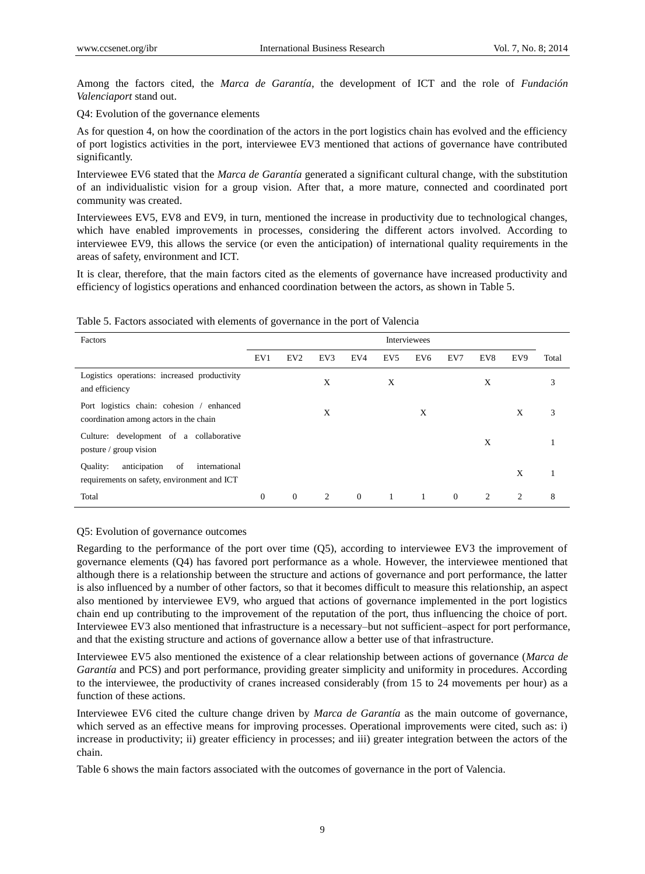Among the factors cited, the *Marca de Garantía*, the development of ICT and the role of *Fundación Valenciaport* stand out.

Q4: Evolution of the governance elements

As for question 4, on how the coordination of the actors in the port logistics chain has evolved and the efficiency of port logistics activities in the port, interviewee EV3 mentioned that actions of governance have contributed significantly.

Interviewee EV6 stated that the *Marca de Garantía* generated a significant cultural change, with the substitution of an individualistic vision for a group vision. After that, a more mature, connected and coordinated port community was created.

Interviewees EV5, EV8 and EV9, in turn, mentioned the increase in productivity due to technological changes, which have enabled improvements in processes, considering the different actors involved. According to interviewee EV9, this allows the service (or even the anticipation) of international quality requirements in the areas of safety, environment and ICT.

It is clear, therefore, that the main factors cited as the elements of governance have increased productivity and efficiency of logistics operations and enhanced coordination between the actors, as shown in Table 5.

| Factors                                                                                        | Interviewees |                 |     |          |                 |                 |                |                |     |       |
|------------------------------------------------------------------------------------------------|--------------|-----------------|-----|----------|-----------------|-----------------|----------------|----------------|-----|-------|
|                                                                                                | EV1          | EV <sub>2</sub> | EV3 | EV4      | EV <sub>5</sub> | EV <sub>6</sub> | EV7            | EV8            | EV9 | Total |
| Logistics operations: increased productivity<br>and efficiency                                 |              |                 | X   |          | X               |                 |                | X              |     | 3     |
| Port logistics chain: cohesion / enhanced<br>coordination among actors in the chain            |              |                 | X   |          |                 | X               |                |                | X   | 3     |
| Culture: development of a collaborative<br>posture / group vision                              |              |                 |     |          |                 |                 |                | X              |     |       |
| anticipation<br>of<br>Ouality:<br>international<br>requirements on safety, environment and ICT |              |                 |     |          |                 |                 |                |                | X   |       |
| Total                                                                                          | $\mathbf{0}$ | $\mathbf{0}$    | 2   | $\Omega$ | $\mathbf{1}$    |                 | $\overline{0}$ | $\overline{2}$ | 2   | 8     |

#### Table 5. Factors associated with elements of governance in the port of Valencia

#### Q5: Evolution of governance outcomes

Regarding to the performance of the port over time (Q5), according to interviewee EV3 the improvement of governance elements (Q4) has favored port performance as a whole. However, the interviewee mentioned that although there is a relationship between the structure and actions of governance and port performance, the latter is also influenced by a number of other factors, so that it becomes difficult to measure this relationship, an aspect also mentioned by interviewee EV9, who argued that actions of governance implemented in the port logistics chain end up contributing to the improvement of the reputation of the port, thus influencing the choice of port. Interviewee EV3 also mentioned that infrastructure is a necessary–but not sufficient–aspect for port performance, and that the existing structure and actions of governance allow a better use of that infrastructure.

Interviewee EV5 also mentioned the existence of a clear relationship between actions of governance (*Marca de*  Garant *t* and PCS) and port performance, providing greater simplicity and uniformity in procedures. According to the interviewee, the productivity of cranes increased considerably (from 15 to 24 movements per hour) as a function of these actions.

Interviewee EV6 cited the culture change driven by *Marca de Garantía* as the main outcome of governance, which served as an effective means for improving processes. Operational improvements were cited, such as: i) increase in productivity; ii) greater efficiency in processes; and iii) greater integration between the actors of the chain.

Table 6 shows the main factors associated with the outcomes of governance in the port of Valencia.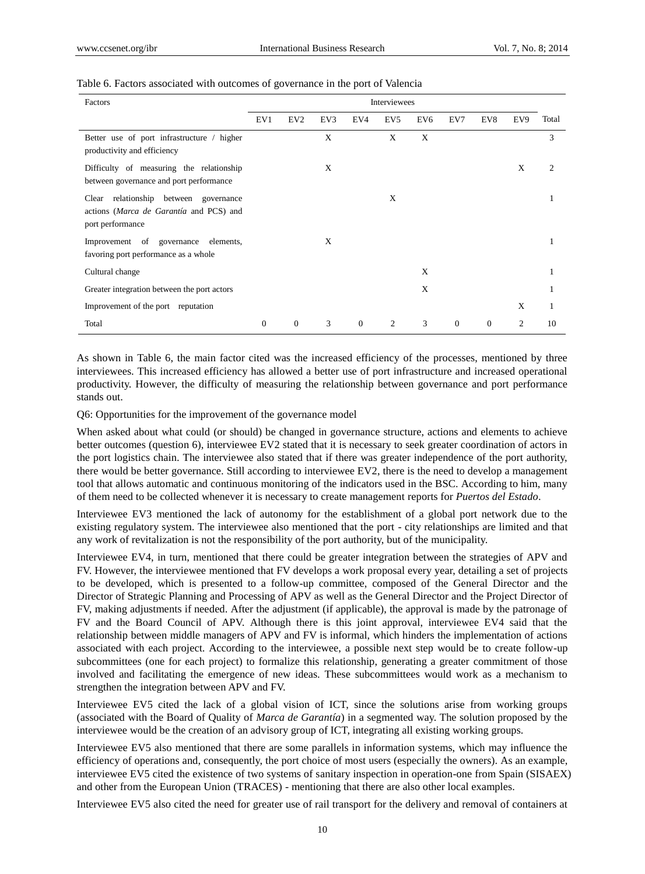| Factors                                                                                                 | Interviewees |                 |     |                |                 |                 |          |          |     |               |
|---------------------------------------------------------------------------------------------------------|--------------|-----------------|-----|----------------|-----------------|-----------------|----------|----------|-----|---------------|
|                                                                                                         | EV1          | EV <sub>2</sub> | EV3 | EV4            | EV <sub>5</sub> | EV <sub>6</sub> | EV7      | EV8      | EV9 | Total         |
| Better use of port infrastructure / higher<br>productivity and efficiency                               |              |                 | X   |                | X               | X               |          |          |     | 3             |
| Difficulty of measuring the relationship<br>between governance and port performance                     |              |                 | X   |                |                 |                 |          |          | X   | $\mathcal{L}$ |
| relationship between governance<br>Clear<br>actions (Marca de Garant á and PCS) and<br>port performance |              |                 |     |                | X               |                 |          |          |     |               |
| Improvement of governance<br>elements,<br>favoring port performance as a whole                          |              |                 | X   |                |                 |                 |          |          |     |               |
| Cultural change                                                                                         |              |                 |     |                |                 | X               |          |          |     | 1             |
| Greater integration between the port actors                                                             |              |                 |     |                |                 | X               |          |          |     |               |
| Improvement of the port reputation                                                                      |              |                 |     |                |                 |                 |          |          | X   |               |
| Total                                                                                                   | $\theta$     | $\theta$        | 3   | $\overline{0}$ | 2               | 3               | $\theta$ | $\Omega$ | 2   | 10            |

#### Table 6. Factors associated with outcomes of governance in the port of Valencia

As shown in Table 6, the main factor cited was the increased efficiency of the processes, mentioned by three interviewees. This increased efficiency has allowed a better use of port infrastructure and increased operational productivity. However, the difficulty of measuring the relationship between governance and port performance stands out.

# Q6: Opportunities for the improvement of the governance model

When asked about what could (or should) be changed in governance structure, actions and elements to achieve better outcomes (question 6), interviewee EV2 stated that it is necessary to seek greater coordination of actors in the port logistics chain. The interviewee also stated that if there was greater independence of the port authority, there would be better governance. Still according to interviewee EV2, there is the need to develop a management tool that allows automatic and continuous monitoring of the indicators used in the BSC. According to him, many of them need to be collected whenever it is necessary to create management reports for *Puertos del Estado*.

Interviewee EV3 mentioned the lack of autonomy for the establishment of a global port network due to the existing regulatory system. The interviewee also mentioned that the port - city relationships are limited and that any work of revitalization is not the responsibility of the port authority, but of the municipality.

Interviewee EV4, in turn, mentioned that there could be greater integration between the strategies of APV and FV. However, the interviewee mentioned that FV develops a work proposal every year, detailing a set of projects to be developed, which is presented to a follow-up committee, composed of the General Director and the Director of Strategic Planning and Processing of APV as well as the General Director and the Project Director of FV, making adjustments if needed. After the adjustment (if applicable), the approval is made by the patronage of FV and the Board Council of APV. Although there is this joint approval, interviewee EV4 said that the relationship between middle managers of APV and FV is informal, which hinders the implementation of actions associated with each project. According to the interviewee, a possible next step would be to create follow-up subcommittees (one for each project) to formalize this relationship, generating a greater commitment of those involved and facilitating the emergence of new ideas. These subcommittees would work as a mechanism to strengthen the integration between APV and FV.

Interviewee EV5 cited the lack of a global vision of ICT, since the solutions arise from working groups (associated with the Board of Quality of *Marca de Garantía*) in a segmented way. The solution proposed by the interviewee would be the creation of an advisory group of ICT, integrating all existing working groups.

Interviewee EV5 also mentioned that there are some parallels in information systems, which may influence the efficiency of operations and, consequently, the port choice of most users (especially the owners). As an example, interviewee EV5 cited the existence of two systems of sanitary inspection in operation-one from Spain (SISAEX) and other from the European Union (TRACES) - mentioning that there are also other local examples.

Interviewee EV5 also cited the need for greater use of rail transport for the delivery and removal of containers at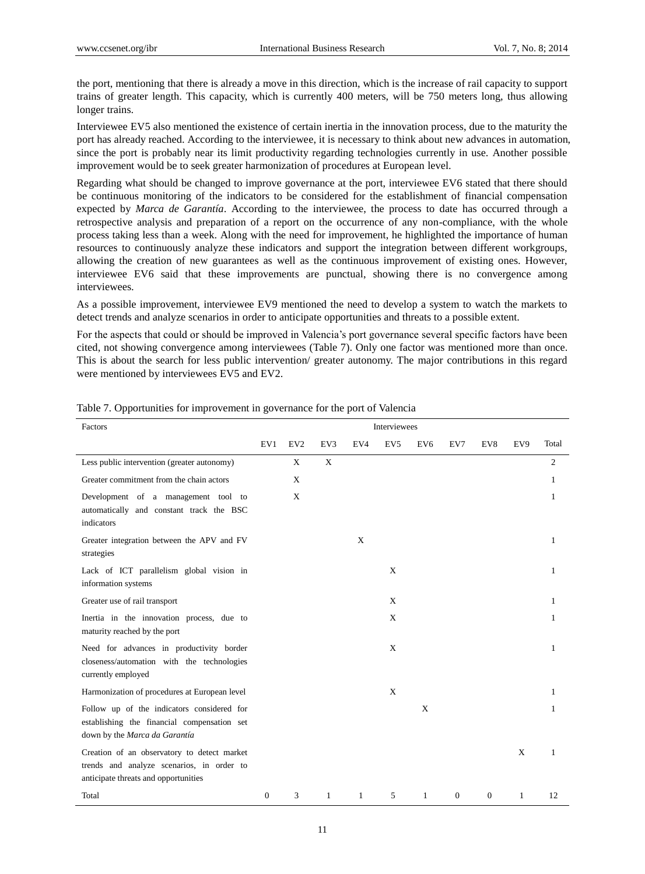the port, mentioning that there is already a move in this direction, which is the increase of rail capacity to support trains of greater length. This capacity, which is currently 400 meters, will be 750 meters long, thus allowing longer trains.

Interviewee EV5 also mentioned the existence of certain inertia in the innovation process, due to the maturity the port has already reached. According to the interviewee, it is necessary to think about new advances in automation, since the port is probably near its limit productivity regarding technologies currently in use. Another possible improvement would be to seek greater harmonization of procedures at European level.

Regarding what should be changed to improve governance at the port, interviewee EV6 stated that there should be continuous monitoring of the indicators to be considered for the establishment of financial compensation expected by *Marca de Garantía*. According to the interviewee, the process to date has occurred through a retrospective analysis and preparation of a report on the occurrence of any non-compliance, with the whole process taking less than a week. Along with the need for improvement, he highlighted the importance of human resources to continuously analyze these indicators and support the integration between different workgroups, allowing the creation of new guarantees as well as the continuous improvement of existing ones. However, interviewee EV6 said that these improvements are punctual, showing there is no convergence among interviewees.

As a possible improvement, interviewee EV9 mentioned the need to develop a system to watch the markets to detect trends and analyze scenarios in order to anticipate opportunities and threats to a possible extent.

For the aspects that could or should be improved in Valencia's port governance several specific factors have been cited, not showing convergence among interviewees (Table 7). Only one factor was mentioned more than once. This is about the search for less public intervention/ greater autonomy. The major contributions in this regard were mentioned by interviewees EV5 and EV2.

| Factors                                                                                                                          | Interviewees |                 |             |     |                 |                 |          |              |     |                |
|----------------------------------------------------------------------------------------------------------------------------------|--------------|-----------------|-------------|-----|-----------------|-----------------|----------|--------------|-----|----------------|
|                                                                                                                                  | EV1          | EV <sub>2</sub> | EV3         | EV4 | EV <sub>5</sub> | EV <sub>6</sub> | EV7      | EV8          | EV9 | Total          |
| Less public intervention (greater autonomy)                                                                                      |              | X               | $\mathbf X$ |     |                 |                 |          |              |     | $\mathfrak{2}$ |
| Greater commitment from the chain actors                                                                                         |              | X               |             |     |                 |                 |          |              |     | 1              |
| Development of a management tool to<br>automatically and constant track the BSC<br>indicators                                    |              | X               |             |     |                 |                 |          |              |     | 1              |
| Greater integration between the APV and FV<br>strategies                                                                         |              |                 |             | X   |                 |                 |          |              |     | 1              |
| Lack of ICT parallelism global vision in<br>information systems                                                                  |              |                 |             |     | X               |                 |          |              |     | 1              |
| Greater use of rail transport                                                                                                    |              |                 |             |     | X               |                 |          |              |     | 1              |
| Inertia in the innovation process, due to<br>maturity reached by the port                                                        |              |                 |             |     | X               |                 |          |              |     | 1              |
| Need for advances in productivity border<br>closeness/automation with the technologies<br>currently employed                     |              |                 |             |     | X               |                 |          |              |     | 1              |
| Harmonization of procedures at European level                                                                                    |              |                 |             |     | X               |                 |          |              |     | 1              |
| Follow up of the indicators considered for<br>establishing the financial compensation set<br>down by the Marca da Garant ú       |              |                 |             |     |                 | X               |          |              |     | 1              |
| Creation of an observatory to detect market<br>trends and analyze scenarios, in order to<br>anticipate threats and opportunities |              |                 |             |     |                 |                 |          |              | X   | 1              |
| Total                                                                                                                            | $\theta$     | 3               | 1           | 1   | 5               | $\mathbf{1}$    | $\Omega$ | $\mathbf{0}$ | 1   | 12             |

Table 7. Opportunities for improvement in governance for the port of Valencia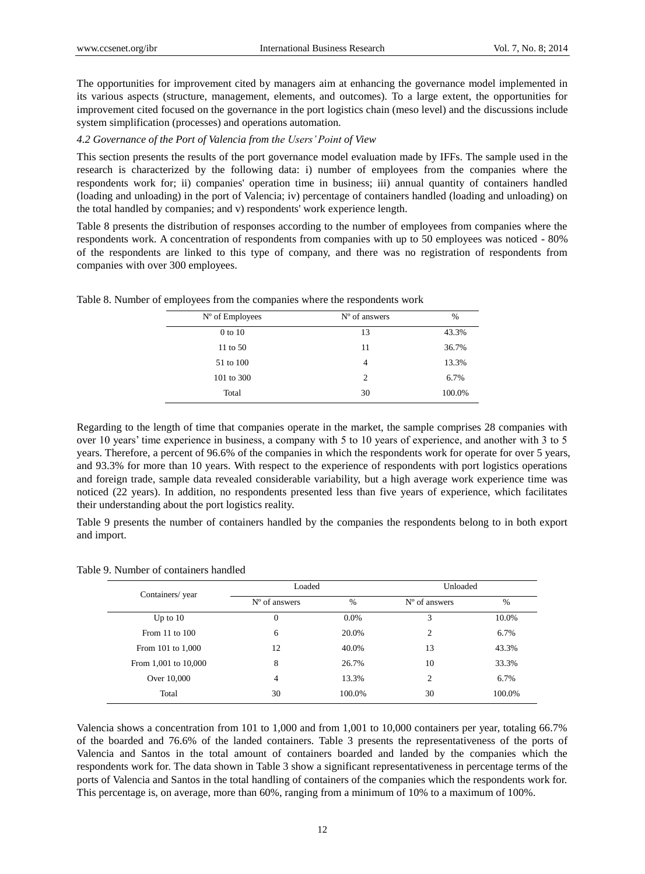The opportunities for improvement cited by managers aim at enhancing the governance model implemented in its various aspects (structure, management, elements, and outcomes). To a large extent, the opportunities for improvement cited focused on the governance in the port logistics chain (meso level) and the discussions include system simplification (processes) and operations automation.

# *4.2 Governance of the Port of Valencia from the Users' Point of View*

This section presents the results of the port governance model evaluation made by IFFs. The sample used in the research is characterized by the following data: i) number of employees from the companies where the respondents work for; ii) companies' operation time in business; iii) annual quantity of containers handled (loading and unloading) in the port of Valencia; iv) percentage of containers handled (loading and unloading) on the total handled by companies; and v) respondents' work experience length.

Table 8 presents the distribution of responses according to the number of employees from companies where the respondents work. A concentration of respondents from companies with up to 50 employees was noticed - 80% of the respondents are linked to this type of company, and there was no registration of respondents from companies with over 300 employees.

| N <sup>o</sup> of Employees | N <sup>o</sup> of answers | $\%$   |
|-----------------------------|---------------------------|--------|
| 0 to 10                     | 13                        | 43.3%  |
| 11 to 50                    | 11                        | 36.7%  |
| 51 to 100                   | 4                         | 13.3%  |
| 101 to 300                  | $\overline{c}$            | 6.7%   |
| Total                       | 30                        | 100.0% |

Table 8. Number of employees from the companies where the respondents work

Regarding to the length of time that companies operate in the market, the sample comprises 28 companies with over 10 years' time experience in business, a company with 5 to 10 years of experience, and another with 3 to 5 years. Therefore, a percent of 96.6% of the companies in which the respondents work for operate for over 5 years, and 93.3% for more than 10 years. With respect to the experience of respondents with port logistics operations and foreign trade, sample data revealed considerable variability, but a high average work experience time was noticed (22 years). In addition, no respondents presented less than five years of experience, which facilitates their understanding about the port logistics reality.

Table 9 presents the number of containers handled by the companies the respondents belong to in both export and import.

| Table 9. Number of containers handled |
|---------------------------------------|
|---------------------------------------|

|                      | Loaded                    |               | Unloaded                  |        |
|----------------------|---------------------------|---------------|---------------------------|--------|
| Containers/year      | N <sup>o</sup> of answers | $\frac{0}{0}$ | N <sup>o</sup> of answers | $\%$   |
| Up to $10$           | $\overline{0}$            | $0.0\%$       | 3                         | 10.0%  |
| From $11$ to $100$   | 6                         | 20.0%         | $\overline{2}$            | 6.7%   |
| From 101 to 1,000    | 12                        | 40.0%         | 13                        | 43.3%  |
| From 1,001 to 10,000 | 8                         | 26.7%         | 10                        | 33.3%  |
| Over 10,000          | 4                         | 13.3%         | $\overline{2}$            | 6.7%   |
| Total                | 30                        | 100.0%        | 30                        | 100.0% |

Valencia shows a concentration from 101 to 1,000 and from 1,001 to 10,000 containers per year, totaling 66.7% of the boarded and 76.6% of the landed containers. Table 3 presents the representativeness of the ports of Valencia and Santos in the total amount of containers boarded and landed by the companies which the respondents work for. The data shown in Table 3 show a significant representativeness in percentage terms of the ports of Valencia and Santos in the total handling of containers of the companies which the respondents work for. This percentage is, on average, more than 60%, ranging from a minimum of 10% to a maximum of 100%.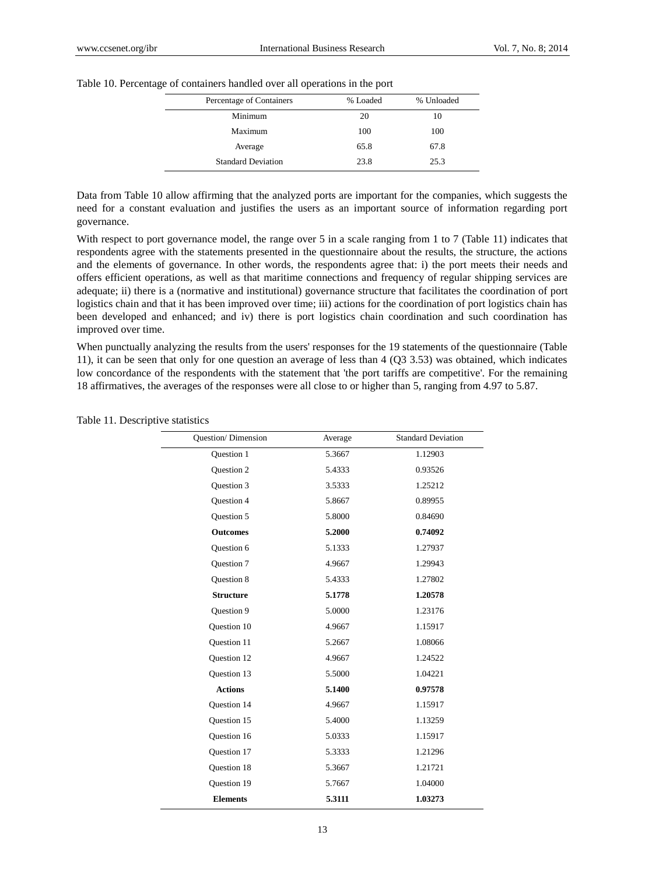| Percentage of Containers | % Loaded | % Unloaded |
|--------------------------|----------|------------|
| Minimum                  |          | 10         |
| Maximum                  | 100      | 100        |

Table 10. Percentage of containers handled over all operations in the port

Data from Table 10 allow affirming that the analyzed ports are important for the companies, which suggests the need for a constant evaluation and justifies the users as an important source of information regarding port governance.

Average 65.8 67.8 Standard Deviation 23.8 25.3

With respect to port governance model, the range over 5 in a scale ranging from 1 to 7 (Table 11) indicates that respondents agree with the statements presented in the questionnaire about the results, the structure, the actions and the elements of governance. In other words, the respondents agree that: i) the port meets their needs and offers efficient operations, as well as that maritime connections and frequency of regular shipping services are adequate; ii) there is a (normative and institutional) governance structure that facilitates the coordination of port logistics chain and that it has been improved over time; iii) actions for the coordination of port logistics chain has been developed and enhanced; and iv) there is port logistics chain coordination and such coordination has improved over time.

When punctually analyzing the results from the users' responses for the 19 statements of the questionnaire (Table 11), it can be seen that only for one question an average of less than 4 (Q3 3.53) was obtained, which indicates low concordance of the respondents with the statement that 'the port tariffs are competitive'. For the remaining 18 affirmatives, the averages of the responses were all close to or higher than 5, ranging from 4.97 to 5.87.

| <b>Ouestion/Dimension</b> | Average | <b>Standard Deviation</b> |
|---------------------------|---------|---------------------------|
| Question 1                | 5.3667  | 1.12903                   |
| <b>Ouestion 2</b>         | 5.4333  | 0.93526                   |
| <b>Ouestion 3</b>         | 3.5333  | 1.25212                   |
| <b>Ouestion 4</b>         | 5.8667  | 0.89955                   |
| Question 5                | 5.8000  | 0.84690                   |
| <b>Outcomes</b>           | 5.2000  | 0.74092                   |
| <b>Ouestion 6</b>         | 5.1333  | 1.27937                   |
| Question 7                | 4.9667  | 1.29943                   |
| Question 8                | 5.4333  | 1.27802                   |
| <b>Structure</b>          | 5.1778  | 1.20578                   |
| Question 9                | 5.0000  | 1.23176                   |
| Question 10               | 4.9667  | 1.15917                   |
| <b>Ouestion 11</b>        | 5.2667  | 1.08066                   |
| Question 12               | 4.9667  | 1.24522                   |
| <b>Ouestion 13</b>        | 5.5000  | 1.04221                   |
| <b>Actions</b>            | 5.1400  | 0.97578                   |
| <b>Ouestion 14</b>        | 4.9667  | 1.15917                   |
| <b>Ouestion 15</b>        | 5.4000  | 1.13259                   |
| Question 16               | 5.0333  | 1.15917                   |
| Question 17               | 5.3333  | 1.21296                   |
| Question 18               | 5.3667  | 1.21721                   |
| Question 19               | 5.7667  | 1.04000                   |
| <b>Elements</b>           | 5.3111  | 1.03273                   |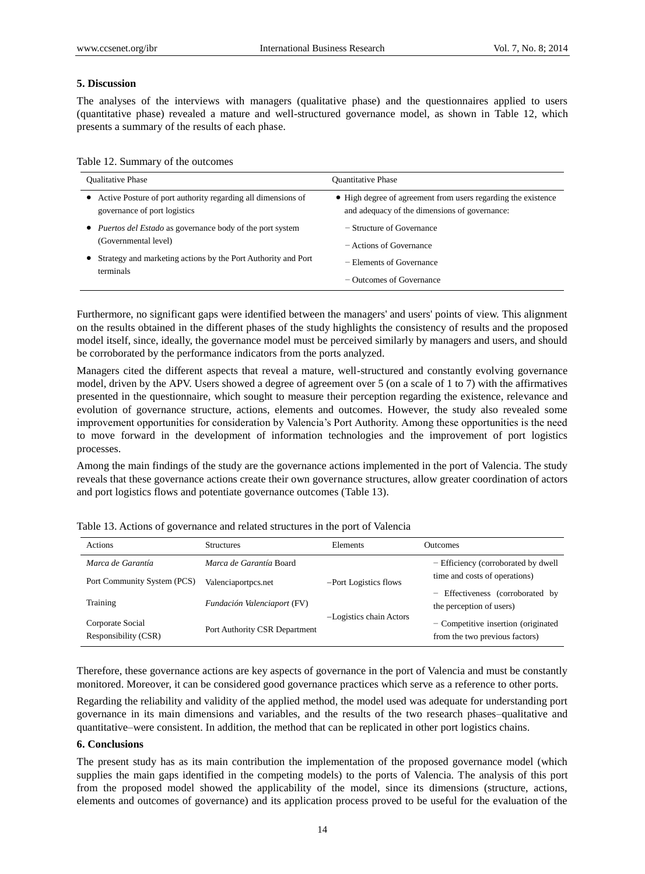# **5. Discussion**

The analyses of the interviews with managers (qualitative phase) and the questionnaires applied to users (quantitative phase) revealed a mature and well-structured governance model, as shown in Table 12, which presents a summary of the results of each phase.

| Table 12. Summary of the outcomes |  |
|-----------------------------------|--|
|-----------------------------------|--|

| <b>Oualitative Phase</b>                                                                                  | <b>Ouantitative Phase</b>                                                                                      |
|-----------------------------------------------------------------------------------------------------------|----------------------------------------------------------------------------------------------------------------|
| Active Posture of port authority regarding all dimensions of<br>$\bullet$<br>governance of port logistics | • High degree of agreement from users regarding the existence<br>and adequacy of the dimensions of governance: |
| • <i>Puertos del Estado</i> as governance body of the port system                                         | $-$ Structure of Governance                                                                                    |
| (Governmental level)                                                                                      | - Actions of Governance                                                                                        |
| Strategy and marketing actions by the Port Authority and Port<br>terminals                                | - Elements of Governance                                                                                       |
|                                                                                                           | - Outcomes of Governance                                                                                       |

Furthermore, no significant gaps were identified between the managers' and users' points of view. This alignment on the results obtained in the different phases of the study highlights the consistency of results and the proposed model itself, since, ideally, the governance model must be perceived similarly by managers and users, and should be corroborated by the performance indicators from the ports analyzed.

Managers cited the different aspects that reveal a mature, well-structured and constantly evolving governance model, driven by the APV. Users showed a degree of agreement over 5 (on a scale of 1 to 7) with the affirmatives presented in the questionnaire, which sought to measure their perception regarding the existence, relevance and evolution of governance structure, actions, elements and outcomes. However, the study also revealed some improvement opportunities for consideration by Valencia's Port Authority. Among these opportunities is the need to move forward in the development of information technologies and the improvement of port logistics processes.

Among the main findings of the study are the governance actions implemented in the port of Valencia. The study reveals that these governance actions create their own governance structures, allow greater coordination of actors and port logistics flows and potentiate governance outcomes (Table 13).

| <b>Actions</b>                           | <b>Structures</b>              | Elements                | <b>Outcomes</b>                                                         |
|------------------------------------------|--------------------------------|-------------------------|-------------------------------------------------------------------------|
| Marca de Garant ía                       | <i>Marca de Garant à</i> Board |                         | - Efficiency (corroborated by dwell                                     |
| Port Community System (PCS)              | Valenciaportpcs.net            | -Port Logistics flows   | time and costs of operations)                                           |
| Training                                 | Fundación Valenciaport (FV)    | -Logistics chain Actors | - Effectiveness (corroborated by<br>the perception of users)            |
| Corporate Social<br>Responsibility (CSR) | Port Authority CSR Department  |                         | $-$ Competitive insertion (originated<br>from the two previous factors) |

Table 13. Actions of governance and related structures in the port of Valencia

Therefore, these governance actions are key aspects of governance in the port of Valencia and must be constantly monitored. Moreover, it can be considered good governance practices which serve as a reference to other ports.

Regarding the reliability and validity of the applied method, the model used was adequate for understanding port governance in its main dimensions and variables, and the results of the two research phases–qualitative and quantitative–were consistent. In addition, the method that can be replicated in other port logistics chains.

## **6. Conclusions**

The present study has as its main contribution the implementation of the proposed governance model (which supplies the main gaps identified in the competing models) to the ports of Valencia. The analysis of this port from the proposed model showed the applicability of the model, since its dimensions (structure, actions, elements and outcomes of governance) and its application process proved to be useful for the evaluation of the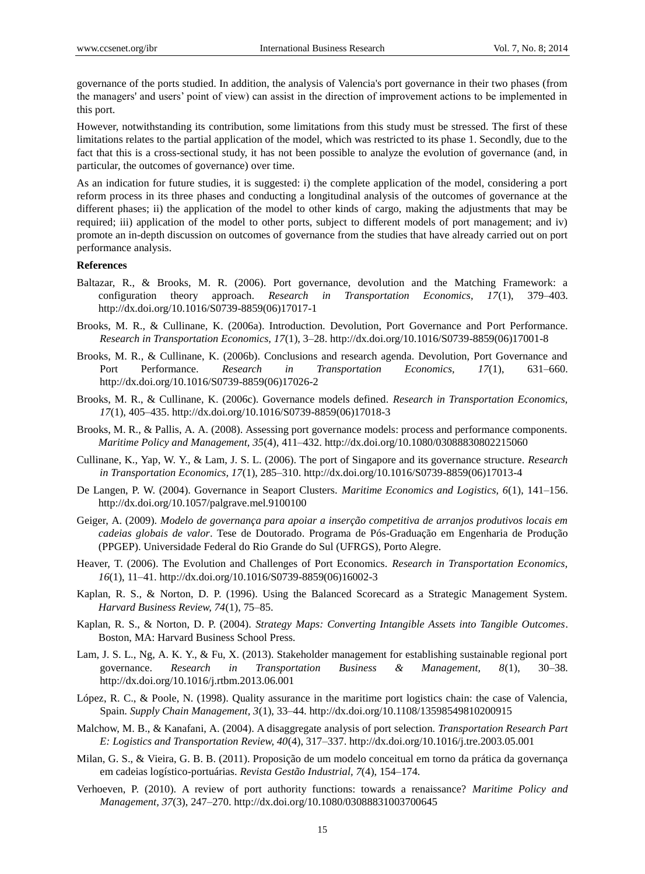governance of the ports studied. In addition, the analysis of Valencia's port governance in their two phases (from the managers' and users' point of view) can assist in the direction of improvement actions to be implemented in this port.

However, notwithstanding its contribution, some limitations from this study must be stressed. The first of these limitations relates to the partial application of the model, which was restricted to its phase 1. Secondly, due to the fact that this is a cross-sectional study, it has not been possible to analyze the evolution of governance (and, in particular, the outcomes of governance) over time.

As an indication for future studies, it is suggested: i) the complete application of the model, considering a port reform process in its three phases and conducting a longitudinal analysis of the outcomes of governance at the different phases; ii) the application of the model to other kinds of cargo, making the adjustments that may be required; iii) application of the model to other ports, subject to different models of port management; and iv) promote an in-depth discussion on outcomes of governance from the studies that have already carried out on port performance analysis.

#### **References**

- Baltazar, R., & Brooks, M. R. (2006). Port governance, devolution and the Matching Framework: a configuration theory approach. *Research in Transportation Economics, 17*(1), 379–403. http://dx.doi.org/10.1016/S0739-8859(06)17017-1
- Brooks, M. R., & Cullinane, K. (2006a). Introduction. Devolution, Port Governance and Port Performance. *Research in Transportation Economics, 17*(1), 3–28. http://dx.doi.org/10.1016/S0739-8859(06)17001-8
- Brooks, M. R., & Cullinane, K. (2006b). Conclusions and research agenda. Devolution, Port Governance and Port Performance. *Research in Transportation Economics, 17*(1), 631–660. http://dx.doi.org/10.1016/S0739-8859(06)17026-2
- Brooks, M. R., & Cullinane, K. (2006c). Governance models defined. *Research in Transportation Economics, 17*(1), 405–435. http://dx.doi.org/10.1016/S0739-8859(06)17018-3
- Brooks, M. R., & Pallis, A. A. (2008). Assessing port governance models: process and performance components. *Maritime Policy and Management, 35*(4), 411–432. http://dx.doi.org/10.1080/03088830802215060
- Cullinane, K., Yap, W. Y., & Lam, J. S. L. (2006). The port of Singapore and its governance structure. *Research in Transportation Economics, 17*(1), 285–310. http://dx.doi.org/10.1016/S0739-8859(06)17013-4
- De Langen, P. W. (2004). Governance in Seaport Clusters. *Maritime Economics and Logistics, 6*(1), 141–156. http://dx.doi.org/10.1057/palgrave.mel.9100100
- Geiger, A. (2009). *Modelo de governança para apoiar a inserção competitiva de arranjos produtivos locais em cadeias globais de valor*. Tese de Doutorado. Programa de Pós-Graduação em Engenharia de Produção (PPGEP). Universidade Federal do Rio Grande do Sul (UFRGS), Porto Alegre.
- Heaver, T. (2006). The Evolution and Challenges of Port Economics. *Research in Transportation Economics, 16*(1), 11–41. http://dx.doi.org/10.1016/S0739-8859(06)16002-3
- Kaplan, R. S., & Norton, D. P. (1996). Using the Balanced Scorecard as a Strategic Management System. *Harvard Business Review, 74*(1), 75–85.
- Kaplan, R. S., & Norton, D. P. (2004). *Strategy Maps: Converting Intangible Assets into Tangible Outcomes*. Boston, MA: Harvard Business School Press.
- Lam, J. S. L., Ng, A. K. Y., & Fu, X. (2013). Stakeholder management for establishing sustainable regional port governance. *Research in Transportation Business & Management, 8*(1), 30–38. http://dx.doi.org/10.1016/j.rtbm.2013.06.001
- López, R. C., & Poole, N. (1998). Quality assurance in the maritime port logistics chain: the case of Valencia, Spain. *Supply Chain Management, 3*(1), 33–44. http://dx.doi.org/10.1108/13598549810200915
- Malchow, M. B., & Kanafani, A. (2004). A disaggregate analysis of port selection. *Transportation Research Part E: Logistics and Transportation Review, 40*(4), 317–337. http://dx.doi.org/10.1016/j.tre.2003.05.001
- Milan, G. S., & Vieira, G. B. B. (2011). Proposição de um modelo conceitual em torno da prática da governança em cadeias logístico-portuárias. *Revista Gestão Industrial, 7*(4), 154–174.
- Verhoeven, P. (2010). A review of port authority functions: towards a renaissance? *Maritime Policy and Management, 37*(3), 247–270. http://dx.doi.org/10.1080/03088831003700645